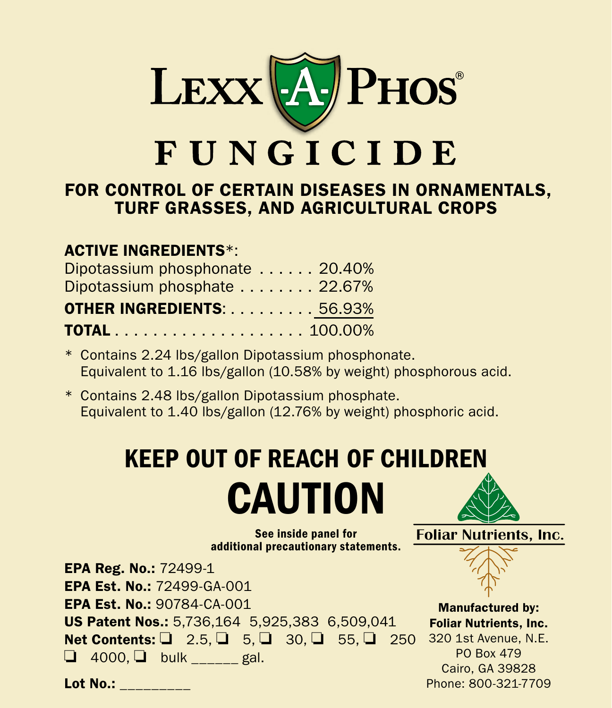

# FOR CONTROL OF CERTAIN DISEASES IN ORNAMENTALS, TURF GRASSES, AND AGRICULTURAL CROPS

## ACTIVE INGREDIENTS\*:

| Dipotassium phosphonate  20.40%  |  |
|----------------------------------|--|
| Dipotassium phosphate 22.67%     |  |
| <b>OTHER INGREDIENTS: 56.93%</b> |  |
|                                  |  |

- \* Contains 2.24 lbs/gallon Dipotassium phosphonate. Equivalent to 1.16 lbs/gallon (10.58% by weight) phosphorous acid.
- \* Contains 2.48 lbs/gallon Dipotassium phosphate. Equivalent to 1.40 lbs/gallon (12.76% by weight) phosphoric acid.

# KEEP OUT OF REACH OF CHILDREN **CAUTION**

See inside panel for additional precautionary statements.



Lot No.: \_\_\_\_\_\_\_\_\_

PO Box 479 Cairo, GA 39828 Phone: 800-321-7709

**Foliar Nutrients, Inc.**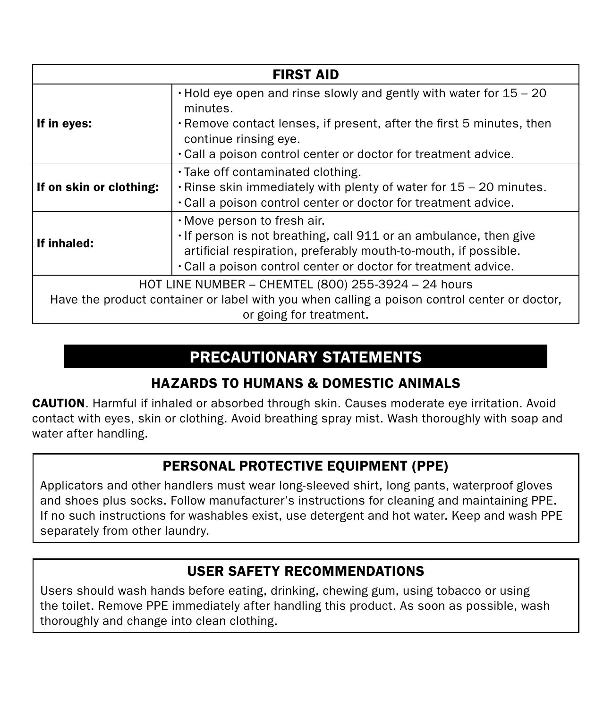| <b>FIRST AID</b>                                                                                                                                                                                                                                                       |  |  |  |
|------------------------------------------------------------------------------------------------------------------------------------------------------------------------------------------------------------------------------------------------------------------------|--|--|--|
| $\cdot$ Hold eye open and rinse slowly and gently with water for 15 – 20<br>minutes.<br>. Remove contact lenses, if present, after the first 5 minutes, then<br>If in eyes:<br>continue rinsing eye.<br>. Call a poison control center or doctor for treatment advice. |  |  |  |
| . Take off contaminated clothing.<br>$\cdot$ Rinse skin immediately with plenty of water for 15 – 20 minutes.<br>If on skin or clothing:<br>. Call a poison control center or doctor for treatment advice.                                                             |  |  |  |
| $\cdot$ Move person to fresh air.<br>· If person is not breathing, call 911 or an ambulance, then give<br>If inhaled:<br>artificial respiration, preferably mouth-to-mouth, if possible.<br>. Call a poison control center or doctor for treatment advice.             |  |  |  |
| HOT LINE NUMBER - CHEMTEL (800) 255-3924 - 24 hours                                                                                                                                                                                                                    |  |  |  |
| Have the product container or label with you when calling a poison control center or doctor.                                                                                                                                                                           |  |  |  |
| or going for treatment.                                                                                                                                                                                                                                                |  |  |  |

# PRECAUTIONARY STATEMENTS

#### HAZARDS TO HUMANS & DOMESTIC ANIMALS

CAUTION. Harmful if inhaled or absorbed through skin. Causes moderate eye irritation. Avoid contact with eyes, skin or clothing. Avoid breathing spray mist. Wash thoroughly with soap and water after handling.

## PERSONAL PROTECTIVE EOUIPMENT (PPE)

Applicators and other handlers must wear long-sleeved shirt, long pants, waterproof gloves and shoes plus socks. Follow manufacturer's instructions for cleaning and maintaining PPE. If no such instructions for washables exist, use detergent and hot water. Keep and wash PPE separately from other laundry.

#### USER SAFETY RECOMMENDATIONS

Users should wash hands before eating, drinking, chewing gum, using tobacco or using the toilet. Remove PPE immediately after handling this product. As soon as possible, wash thoroughly and change into clean clothing.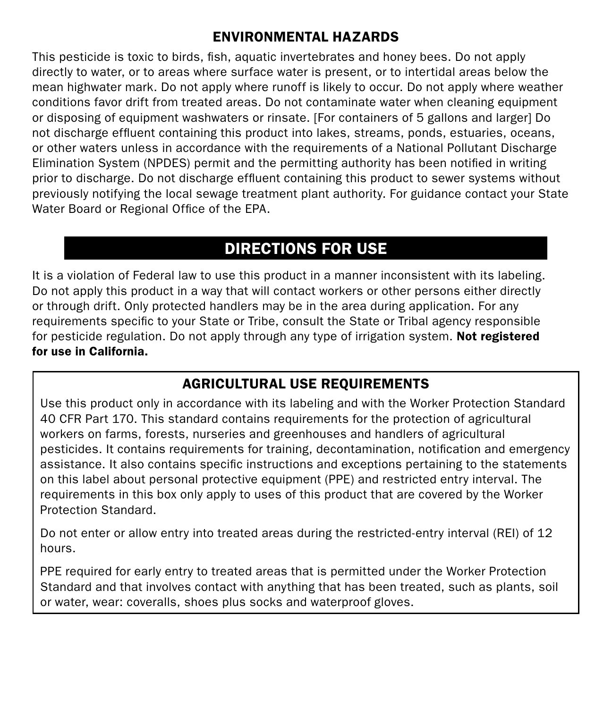#### ENVIRONMENTAL HAZARDS

This pesticide is toxic to birds, fish, aquatic invertebrates and honey bees. Do not apply directly to water, or to areas where surface water is present, or to intertidal areas below the mean highwater mark. Do not apply where runoff is likely to occur. Do not apply where weather conditions favor drift from treated areas. Do not contaminate water when cleaning equipment or disposing of equipment washwaters or rinsate. [For containers of 5 gallons and larger] Do not discharge effluent containing this product into lakes, streams, ponds, estuaries, oceans, or other waters unless in accordance with the requirements of a National Pollutant Discharge Elimination System (NPDES) permit and the permitting authority has been notified in writing prior to discharge. Do not discharge effluent containing this product to sewer systems without previously notifying the local sewage treatment plant authority. For guidance contact your State Water Board or Regional Office of the EPA.

# DIRECTIONS FOR USE

It is a violation of Federal law to use this product in a manner inconsistent with its labeling. Do not apply this product in a way that will contact workers or other persons either directly or through drift. Only protected handlers may be in the area during application. For any requirements specific to your State or Tribe, consult the State or Tribal agency responsible for pesticide regulation. Do not apply through any type of irrigation system. Not registered for use in California.

#### AGRICULTURAL USE REQUIREMENTS

Use this product only in accordance with its labeling and with the Worker Protection Standard 40 CFR Part 170. This standard contains requirements for the protection of agricultural workers on farms, forests, nurseries and greenhouses and handlers of agricultural pesticides. It contains requirements for training, decontamination, notification and emergency assistance. It also contains specific instructions and exceptions pertaining to the statements on this label about personal protective equipment (PPE) and restricted entry interval. The requirements in this box only apply to uses of this product that are covered by the Worker Protection Standard.

Do not enter or allow entry into treated areas during the restricted-entry interval (REI) of 12 hours.

PPE required for early entry to treated areas that is permitted under the Worker Protection Standard and that involves contact with anything that has been treated, such as plants, soil or water, wear: coveralls, shoes plus socks and waterproof gloves.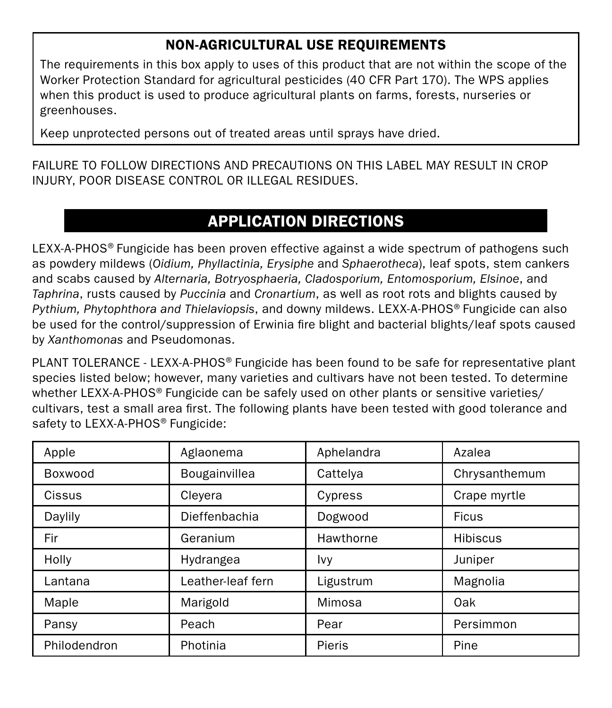## Non-Agricultural Use Requirements

The requirements in this box apply to uses of this product that are not within the scope of the Worker Protection Standard for agricultural pesticides (40 CFR Part 170). The WPS applies when this product is used to produce agricultural plants on farms, forests, nurseries or greenhouses.

Keep unprotected persons out of treated areas until sprays have dried.

FAILURE TO FOLLOW DIRECTIONS AND PRECAUTIONS ON THIS LABEL MAY RESULT IN CROP INJURY, POOR DISEASE CONTROL OR ILLEGAL RESIDUES.

# APPLICATION DIRECTIONS

LEXX-A-PHOS® Fungicide has been proven effective against a wide spectrum of pathogens such as powdery mildews (*Oidium, Phyllactinia, Erysiphe* and *Sphaerotheca*), leaf spots, stem cankers and scabs caused by *Alternaria, Botryosphaeria, Cladosporium, Entomosporium, Elsinoe*, and *Taphrina*, rusts caused by *Puccinia* and *Cronartium*, as well as root rots and blights caused by *Pythium, Phytophthora and Thielaviopsis*, and downy mildews. LEXX-A-PHOS® Fungicide can also be used for the control/suppression of Erwinia fire blight and bacterial blights/leaf spots caused by *Xanthomonas* and Pseudomonas.

PLANT TOLERANCE - LEXX-A-PHOS® Fungicide has been found to be safe for representative plant species listed below; however, many varieties and cultivars have not been tested. To determine whether LEXX-A-PHOS® Fungicide can be safely used on other plants or sensitive varieties/ cultivars, test a small area first. The following plants have been tested with good tolerance and safety to LEXX-A-PHOS<sup>®</sup> Fungicide:

| Apple        | Aglaonema         | Aphelandra | Azalea          |
|--------------|-------------------|------------|-----------------|
| Boxwood      | Bougainvillea     | Cattelya   | Chrysanthemum   |
| Cissus       | Cleyera           | Cypress    | Crape myrtle    |
| Daylily      | Dieffenbachia     | Dogwood    | <b>Ficus</b>    |
| Fir          | Geranium          | Hawthorne  | <b>Hibiscus</b> |
| Holly        | Hydrangea         | Ivy        | Juniper         |
| Lantana      | Leather-leaf fern | Ligustrum  | Magnolia        |
| Maple        | Marigold          | Mimosa     | Oak             |
| Pansy        | Peach             | Pear       | Persimmon       |
| Philodendron | Photinia          | Pieris     | Pine            |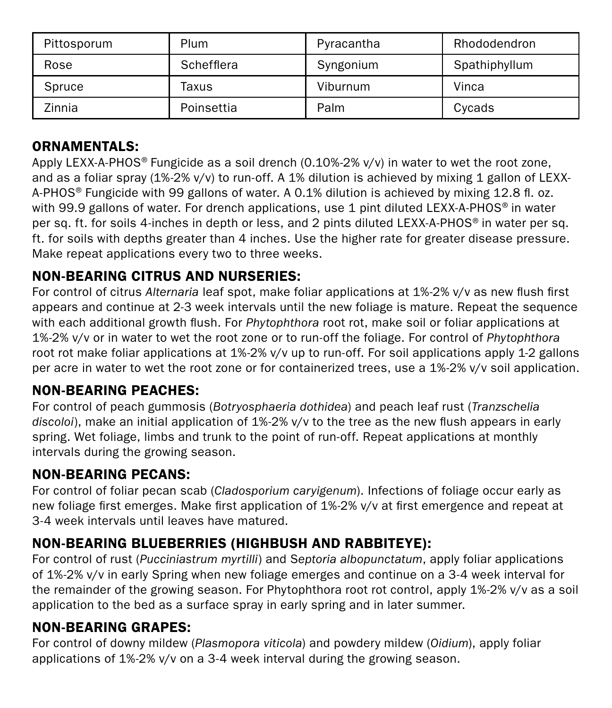| Pittosporum | Plum       | Pyracantha | Rhododendron  |
|-------------|------------|------------|---------------|
| Rose        | Schefflera | Syngonium  | Spathiphyllum |
| Spruce      | Taxus      | Viburnum   | Vinca         |
| Zinnia      | Poinsettia | Palm       | Cycads        |

#### ORNAMENTALS:

Apply LEXX-A-PHOS® Fungicide as a soil drench (0.10%-2% v/v) in water to wet the root zone, and as a foliar spray (1%-2% v/v) to run-off. A 1% dilution is achieved by mixing 1 gallon of LEXX-A-PHOS® Fungicide with 99 gallons of water. A 0.1% dilution is achieved by mixing 12.8 fl. oz. with 99.9 gallons of water. For drench applications, use 1 pint diluted LEXX-A-PHOS<sup>®</sup> in water per sq. ft. for soils 4-inches in depth or less, and 2 pints diluted LEXX-A-PHOS® in water per sq. ft. for soils with depths greater than 4 inches. Use the higher rate for greater disease pressure. Make repeat applications every two to three weeks.

#### NON-BEARING CITRUS AND NURSERIES:

For control of citrus *Alternaria* leaf spot, make foliar applications at 1%-2% v/v as new flush first appears and continue at 2-3 week intervals until the new foliage is mature. Repeat the sequence with each additional growth flush. For *Phytophthora* root rot, make soil or foliar applications at 1%-2% v/v or in water to wet the root zone or to run-off the foliage. For control of *Phytophthora* root rot make foliar applications at 1%-2% v/v up to run-off. For soil applications apply 1-2 gallons per acre in water to wet the root zone or for containerized trees, use a 1%-2% v/v soil application.

#### NON-BEARING PEACHES:

For control of peach gummosis (*Botryosphaeria dothidea*) and peach leaf rust (*Tranzschelia discoloi*), make an initial application of 1%-2% v/v to the tree as the new flush appears in early spring. Wet foliage, limbs and trunk to the point of run-off. Repeat applications at monthly intervals during the growing season.

#### NON-BEARING PECANS:

For control of foliar pecan scab (*Cladosporium caryigenum*). Infections of foliage occur early as new foliage first emerges. Make first application of 1%-2% v/v at first emergence and repeat at 3-4 week intervals until leaves have matured.

#### NON-BEARING BLUEBERRIES (HIGHBUSH AND RABBITEYE):

For control of rust (*Pucciniastrum myrtilli*) and S*eptoria albopunctatum*, apply foliar applications of 1%-2% v/v in early Spring when new foliage emerges and continue on a 3-4 week interval for the remainder of the growing season. For Phytophthora root rot control, apply 1%-2% v/v as a soil application to the bed as a surface spray in early spring and in later summer.

#### NON-BEARING GRAPES:

For control of downy mildew (*Plasmopora viticola*) and powdery mildew (*Oidium*), apply foliar applications of 1%-2% v/v on a 3-4 week interval during the growing season.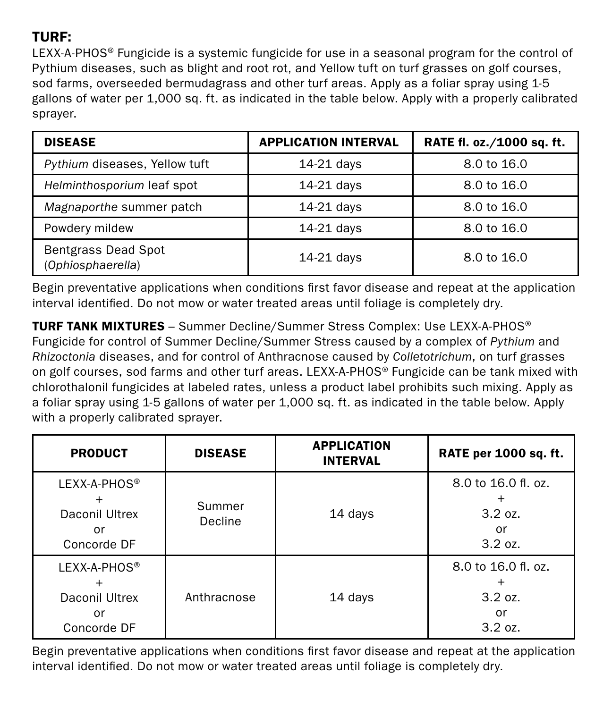## TURF:

LEXX-A-PHOS® Fungicide is a systemic fungicide for use in a seasonal program for the control of Pythium diseases, such as blight and root rot, and Yellow tuft on turf grasses on golf courses, sod farms, overseeded bermudagrass and other turf areas. Apply as a foliar spray using 1-5 gallons of water per 1,000 sq. ft. as indicated in the table below. Apply with a properly calibrated sprayer.

| <b>DISEASE</b>                                  | <b>APPLICATION INTERVAL</b> | RATE fl. oz./1000 sq. ft. |
|-------------------------------------------------|-----------------------------|---------------------------|
| Pythium diseases, Yellow tuft                   | 14-21 days                  | 8.0 to 16.0               |
| Helminthosporium leaf spot                      | 14-21 days                  | 8.0 to 16.0               |
| Magnaporthe summer patch                        | 14-21 days                  | 8.0 to 16.0               |
| Powdery mildew                                  | 14-21 days                  | 8.0 to 16.0               |
| <b>Bentgrass Dead Spot</b><br>(Ophiosphaerella) | 14-21 days                  | 8.0 to 16.0               |

Begin preventative applications when conditions first favor disease and repeat at the application interval identified. Do not mow or water treated areas until foliage is completely dry.

TURF TANK MIXTURES – Summer Decline/Summer Stress Complex: Use LEXX-A-PHOS® Fungicide for control of Summer Decline/Summer Stress caused by a complex of *Pythium* and *Rhizoctonia* diseases, and for control of Anthracnose caused by *Colletotrichum*, on turf grasses on golf courses, sod farms and other turf areas. LEXX-A-PHOS® Fungicide can be tank mixed with chlorothalonil fungicides at labeled rates, unless a product label prohibits such mixing. Apply as a foliar spray using 1-5 gallons of water per 1,000 sq. ft. as indicated in the table below. Apply with a properly calibrated sprayer.

| <b>PRODUCT</b>                                                  | <b>DISEASE</b>    | <b>APPLICATION</b><br><b>INTERVAL</b> | RATE per 1000 sq. ft.                           |
|-----------------------------------------------------------------|-------------------|---------------------------------------|-------------------------------------------------|
| LEXX-A-PHOS <sup>®</sup><br>Daconil Ultrex<br>or<br>Concorde DF | Summer<br>Decline | 14 days                               | 8.0 to 16.0 fl. oz.<br>3.2 oz.<br>or<br>3.2 oz. |
| LEXX-A-PHOS <sup>®</sup><br>Daconil Ultrex<br>or<br>Concorde DF | Anthracnose       | 14 days                               | 8.0 to 16.0 fl. oz.<br>3.2 oz.<br>or<br>3.2 oz. |

Begin preventative applications when conditions first favor disease and repeat at the application interval identified. Do not mow or water treated areas until foliage is completely dry.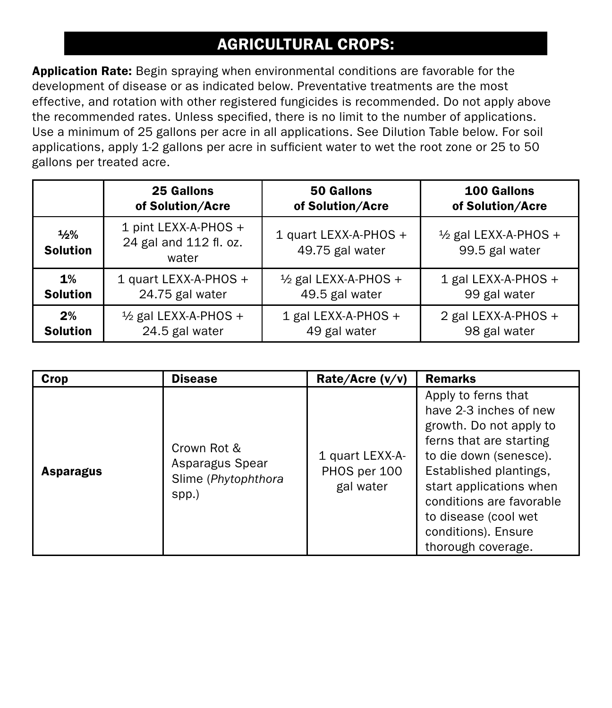# AGRICULTURAL CROPS:

Application Rate: Begin spraying when environmental conditions are favorable for the development of disease or as indicated below. Preventative treatments are the most effective, and rotation with other registered fungicides is recommended. Do not apply above the recommended rates. Unless specified, there is no limit to the number of applications. Use a minimum of 25 gallons per acre in all applications. See Dilution Table below. For soil applications, apply 1-2 gallons per acre in sufficient water to wet the root zone or 25 to 50 gallons per treated acre.

|                         | 25 Gallons                                              | 50 Gallons                               | 100 Gallons                                       |
|-------------------------|---------------------------------------------------------|------------------------------------------|---------------------------------------------------|
|                         | of Solution/Acre                                        | of Solution/Acre                         | of Solution/Acre                                  |
| 1/2%<br><b>Solution</b> | 1 pint LEXX-A-PHOS +<br>24 gal and 112 fl. oz.<br>water | 1 quart LEXX-A-PHOS +<br>49.75 gal water | $\frac{1}{2}$ gal LEXX-A-PHOS +<br>99.5 gal water |
| 1%                      | 1 quart LEXX-A-PHOS +                                   | $\frac{1}{2}$ gal LEXX-A-PHOS +          | 1 gal LEXX-A-PHOS +                               |
| <b>Solution</b>         | 24.75 gal water                                         | 49.5 gal water                           | 99 gal water                                      |
| 2%                      | $\frac{1}{2}$ gal LEXX-A-PHOS +                         | 1 gal LEXX-A-PHOS +                      | 2 gal LEXX-A-PHOS +                               |
| <b>Solution</b>         | 24.5 gal water                                          | 49 gal water                             | 98 gal water                                      |

| Crop      | <b>Disease</b>                                                 | Rate/Acre (v/v)                              | <b>Remarks</b>                                                                                                                                                                                                                                                                      |
|-----------|----------------------------------------------------------------|----------------------------------------------|-------------------------------------------------------------------------------------------------------------------------------------------------------------------------------------------------------------------------------------------------------------------------------------|
| Asparagus | Crown Rot &<br>Asparagus Spear<br>Slime (Phytophthora<br>spp.) | 1 quart LEXX-A-<br>PHOS per 100<br>gal water | Apply to ferns that<br>have 2-3 inches of new<br>growth. Do not apply to<br>ferns that are starting<br>to die down (senesce).<br>Established plantings,<br>start applications when<br>conditions are favorable<br>to disease (cool wet<br>conditions). Ensure<br>thorough coverage. |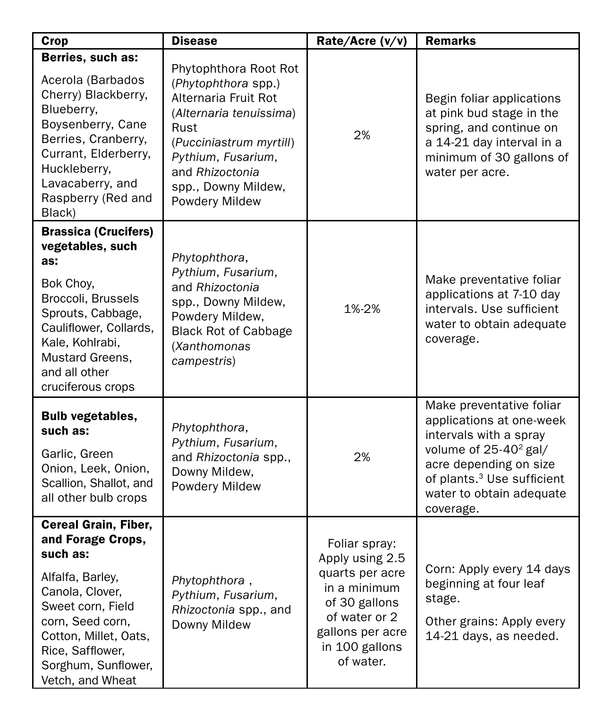| Crop                                                                                                                                                                                                                          | <b>Disease</b>                                                                                                                                                                                                       | Rate/Acre (v/v)                                                                                                                                          | <b>Remarks</b>                                                                                                                                                                                                                   |
|-------------------------------------------------------------------------------------------------------------------------------------------------------------------------------------------------------------------------------|----------------------------------------------------------------------------------------------------------------------------------------------------------------------------------------------------------------------|----------------------------------------------------------------------------------------------------------------------------------------------------------|----------------------------------------------------------------------------------------------------------------------------------------------------------------------------------------------------------------------------------|
| Berries, such as:<br>Acerola (Barbados<br>Cherry) Blackberry,<br>Blueberry,<br>Boysenberry, Cane<br>Berries, Cranberry,<br>Currant, Elderberry,<br>Huckleberry,<br>Lavacaberry, and<br>Raspberry (Red and<br>Black)           | Phytophthora Root Rot<br>(Phytophthora spp.)<br>Alternaria Fruit Rot<br>(Alternaria tenuissima)<br>Rust<br>(Pucciniastrum myrtill)<br>Pythium, Fusarium,<br>and Rhizoctonia<br>spp., Downy Mildew,<br>Powdery Mildew | 2%                                                                                                                                                       | Begin foliar applications<br>at pink bud stage in the<br>spring, and continue on<br>a 14-21 day interval in a<br>minimum of 30 gallons of<br>water per acre.                                                                     |
| <b>Brassica (Crucifers)</b><br>vegetables, such<br>as:<br>Bok Choy,<br>Broccoli, Brussels<br>Sprouts, Cabbage,<br>Cauliflower, Collards,<br>Kale, Kohlrabi,<br>Mustard Greens,<br>and all other<br>cruciferous crops          | Phytophthora,<br>Pythium, Fusarium,<br>and Rhizoctonia<br>spp., Downy Mildew,<br>Powdery Mildew,<br><b>Black Rot of Cabbage</b><br>(Xanthomonas<br>campestris)                                                       | 1%-2%                                                                                                                                                    | Make preventative foliar<br>applications at 7-10 day<br>intervals. Use sufficient<br>water to obtain adequate<br>coverage.                                                                                                       |
| <b>Bulb vegetables,</b><br>such as:<br>Garlic, Green<br>Onion, Leek, Onion,<br>Scallion, Shallot, and<br>all other bulb crops                                                                                                 | Phytophthora,<br>Pythium, Fusarium,<br>and Rhizoctonia spp.,<br>Downy Mildew,<br>Powdery Mildew                                                                                                                      | 2%                                                                                                                                                       | Make preventative foliar<br>applications at one-week<br>intervals with a spray<br>volume of 25-40 <sup>2</sup> gal/<br>acre depending on size<br>of plants. <sup>3</sup> Use sufficient<br>water to obtain adequate<br>coverage. |
| Cereal Grain, Fiber,<br>and Forage Crops,<br>such as:<br>Alfalfa, Barley,<br>Canola, Clover,<br>Sweet corn, Field<br>corn, Seed corn,<br>Cotton, Millet, Oats,<br>Rice, Safflower,<br>Sorghum, Sunflower,<br>Vetch, and Wheat | Phytophthora,<br>Pythium, Fusarium,<br>Rhizoctonia spp., and<br>Downy Mildew                                                                                                                                         | Foliar spray:<br>Apply using 2.5<br>quarts per acre<br>in a minimum<br>of 30 gallons<br>of water or 2<br>gallons per acre<br>in 100 gallons<br>of water. | Corn: Apply every 14 days<br>beginning at four leaf<br>stage.<br>Other grains: Apply every<br>14-21 days, as needed.                                                                                                             |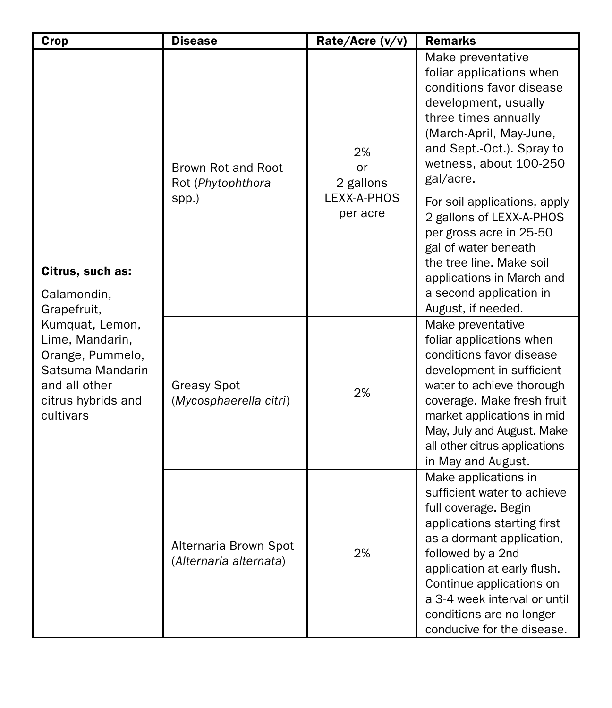| Crop                                                                                                                                                                             | <b>Disease</b>                                   | Rate/Acre (v/v)                                  | <b>Remarks</b>                                                                                                                                                                                                                                                                                                                                                                                                                                    |
|----------------------------------------------------------------------------------------------------------------------------------------------------------------------------------|--------------------------------------------------|--------------------------------------------------|---------------------------------------------------------------------------------------------------------------------------------------------------------------------------------------------------------------------------------------------------------------------------------------------------------------------------------------------------------------------------------------------------------------------------------------------------|
| Citrus, such as:<br>Calamondin.<br>Grapefruit,<br>Kumquat, Lemon,<br>Lime, Mandarin,<br>Orange, Pummelo,<br>Satsuma Mandarin<br>and all other<br>citrus hybrids and<br>cultivars | Brown Rot and Root<br>Rot (Phytophthora<br>spp.) | 2%<br>or<br>2 gallons<br>LEXX-A-PHOS<br>per acre | Make preventative<br>foliar applications when<br>conditions favor disease<br>development, usually<br>three times annually<br>(March-April, May-June,<br>and Sept.-Oct.). Spray to<br>wetness, about 100-250<br>gal/acre.<br>For soil applications, apply<br>2 gallons of LEXX-A-PHOS<br>per gross acre in 25-50<br>gal of water beneath<br>the tree line. Make soil<br>applications in March and<br>a second application in<br>August, if needed. |
|                                                                                                                                                                                  | <b>Greasy Spot</b><br>(Mycosphaerella citri)     | 2%                                               | Make preventative<br>foliar applications when<br>conditions favor disease<br>development in sufficient<br>water to achieve thorough<br>coverage. Make fresh fruit<br>market applications in mid<br>May, July and August. Make<br>all other citrus applications<br>in May and August.                                                                                                                                                              |
|                                                                                                                                                                                  | Alternaria Brown Spot<br>(Alternaria alternata)  | 2%                                               | Make applications in<br>sufficient water to achieve<br>full coverage. Begin<br>applications starting first<br>as a dormant application,<br>followed by a 2nd<br>application at early flush.<br>Continue applications on<br>a 3-4 week interval or until<br>conditions are no longer<br>conducive for the disease.                                                                                                                                 |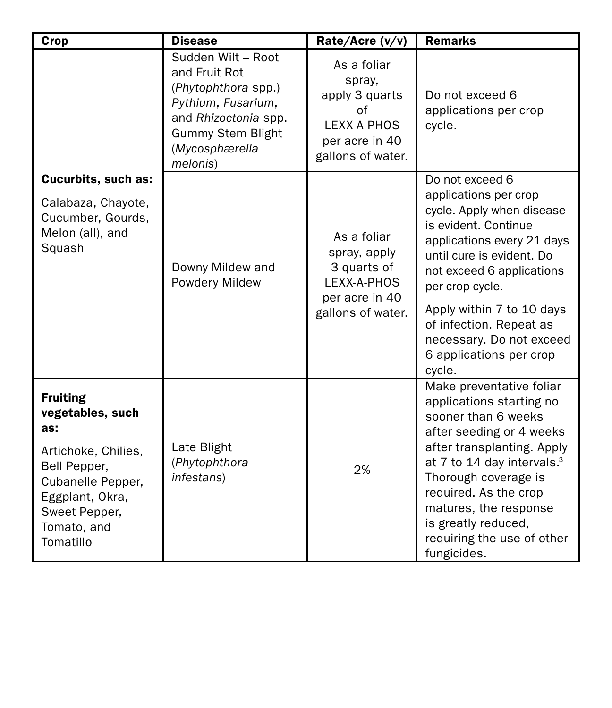| Crop                                                                                                                                                                   | <b>Disease</b>                                                                                                                                                     | Rate/Acre (v/v)                                                                                     | <b>Remarks</b>                                                                                                                                                                                                                                                                                                                |
|------------------------------------------------------------------------------------------------------------------------------------------------------------------------|--------------------------------------------------------------------------------------------------------------------------------------------------------------------|-----------------------------------------------------------------------------------------------------|-------------------------------------------------------------------------------------------------------------------------------------------------------------------------------------------------------------------------------------------------------------------------------------------------------------------------------|
|                                                                                                                                                                        | Sudden Wilt - Root<br>and Fruit Rot<br>(Phytophthora spp.)<br>Pythium, Fusarium,<br>and Rhizoctonia spp.<br><b>Gummy Stem Blight</b><br>(Mycosphærella<br>melonis) | As a foliar<br>spray,<br>apply 3 quarts<br>of<br>LEXX-A-PHOS<br>per acre in 40<br>gallons of water. | Do not exceed 6<br>applications per crop<br>cycle.                                                                                                                                                                                                                                                                            |
| Cucurbits, such as:                                                                                                                                                    |                                                                                                                                                                    |                                                                                                     | Do not exceed 6                                                                                                                                                                                                                                                                                                               |
| Calabaza, Chayote,<br>Cucumber, Gourds,<br>Melon (all), and<br>Squash                                                                                                  | Downy Mildew and<br><b>Powdery Mildew</b>                                                                                                                          | As a foliar<br>spray, apply<br>3 quarts of<br>LEXX-A-PHOS<br>per acre in 40<br>gallons of water.    | applications per crop<br>cycle. Apply when disease<br>is evident. Continue<br>applications every 21 days<br>until cure is evident. Do<br>not exceed 6 applications<br>per crop cycle.<br>Apply within 7 to 10 days<br>of infection. Repeat as<br>necessary. Do not exceed<br>6 applications per crop<br>cycle.                |
| <b>Fruiting</b><br>vegetables, such<br>as:<br>Artichoke, Chilies,<br>Bell Pepper,<br>Cubanelle Pepper,<br>Eggplant, Okra,<br>Sweet Pepper,<br>Tomato, and<br>Tomatillo | Late Blight<br>(Phytophthora<br>infestans)                                                                                                                         | 2%                                                                                                  | Make preventative foliar<br>applications starting no<br>sooner than 6 weeks<br>after seeding or 4 weeks<br>after transplanting. Apply<br>at 7 to 14 day intervals. <sup>3</sup><br>Thorough coverage is<br>required. As the crop<br>matures, the response<br>is greatly reduced,<br>requiring the use of other<br>fungicides. |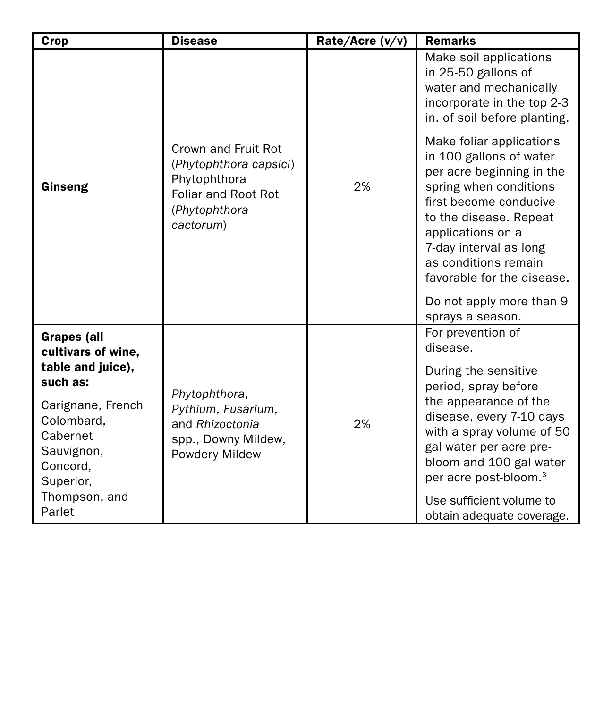| Crop                                                                                                                                 | <b>Disease</b>                                                                                                     | Rate/Acre (v/v) | <b>Remarks</b>                                                                                                                                                                                                                                                                                  |
|--------------------------------------------------------------------------------------------------------------------------------------|--------------------------------------------------------------------------------------------------------------------|-----------------|-------------------------------------------------------------------------------------------------------------------------------------------------------------------------------------------------------------------------------------------------------------------------------------------------|
|                                                                                                                                      |                                                                                                                    |                 | Make soil applications<br>in 25-50 gallons of<br>water and mechanically<br>incorporate in the top 2-3<br>in. of soil before planting.                                                                                                                                                           |
| Ginseng                                                                                                                              | Crown and Fruit Rot<br>(Phytophthora capsici)<br>Phytophthora<br>Foliar and Root Rot<br>(Phytophthora<br>cactorum) | 2%              | Make foliar applications<br>in 100 gallons of water<br>per acre beginning in the<br>spring when conditions<br>first become conducive<br>to the disease. Repeat<br>applications on a<br>7-day interval as long<br>as conditions remain<br>favorable for the disease.<br>Do not apply more than 9 |
|                                                                                                                                      |                                                                                                                    |                 | sprays a season.                                                                                                                                                                                                                                                                                |
| <b>Grapes (all</b><br>cultivars of wine,                                                                                             |                                                                                                                    |                 | For prevention of<br>disease.                                                                                                                                                                                                                                                                   |
| table and juice).<br>such as:<br>Carignane, French<br>Colombard.<br>Cabernet<br>Sauvignon,<br>Concord,<br>Superior,<br>Thompson, and | Phytophthora,<br>Pythium, Fusarium,<br>and Rhizoctonia<br>spp., Downy Mildew,<br><b>Powdery Mildew</b>             | 2%              | During the sensitive<br>period, spray before<br>the appearance of the<br>disease, every 7-10 days<br>with a spray volume of 50<br>gal water per acre pre-<br>bloom and 100 gal water<br>per acre post-bloom. <sup>3</sup>                                                                       |
| Parlet                                                                                                                               |                                                                                                                    |                 | Use sufficient volume to<br>obtain adequate coverage.                                                                                                                                                                                                                                           |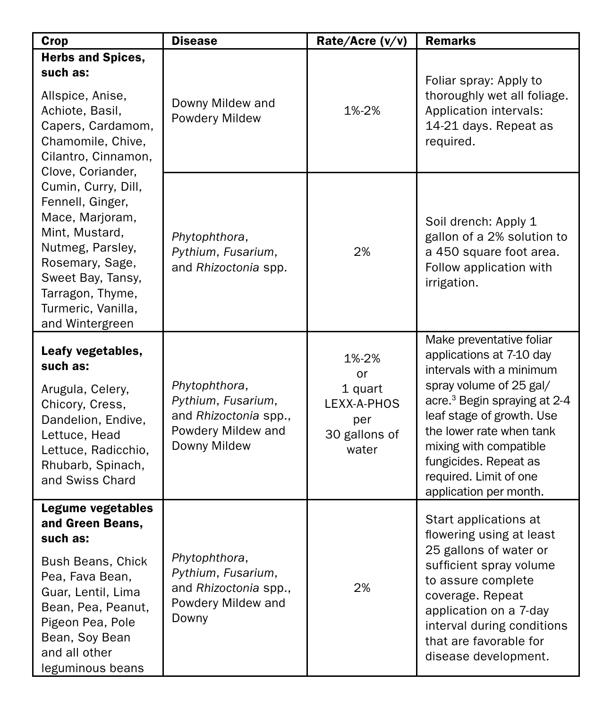| Crop                                                                                                                                                                                                                                                                                                                                                                       | <b>Disease</b>                                                                                     | Rate/Acre (v/v)                                                        | Remarks                                                                                                                                                                                                                                                                                                                 |
|----------------------------------------------------------------------------------------------------------------------------------------------------------------------------------------------------------------------------------------------------------------------------------------------------------------------------------------------------------------------------|----------------------------------------------------------------------------------------------------|------------------------------------------------------------------------|-------------------------------------------------------------------------------------------------------------------------------------------------------------------------------------------------------------------------------------------------------------------------------------------------------------------------|
| <b>Herbs and Spices,</b><br>such as:<br>Allspice, Anise,<br>Achiote, Basil,<br>Capers, Cardamom,<br>Chamomile, Chive,<br>Cilantro, Cinnamon.<br>Clove, Coriander,<br>Cumin, Curry, Dill,<br>Fennell, Ginger,<br>Mace, Marjoram,<br>Mint, Mustard,<br>Nutmeg, Parsley,<br>Rosemary, Sage,<br>Sweet Bay, Tansy,<br>Tarragon, Thyme,<br>Turmeric, Vanilla,<br>and Wintergreen | Downy Mildew and<br>Powdery Mildew                                                                 | 1%-2%                                                                  | Foliar spray: Apply to<br>thoroughly wet all foliage.<br>Application intervals:<br>14-21 days. Repeat as<br>required.                                                                                                                                                                                                   |
|                                                                                                                                                                                                                                                                                                                                                                            | Phytophthora,<br>Pythium, Fusarium,<br>and Rhizoctonia spp.                                        | 2%                                                                     | Soil drench: Apply 1<br>gallon of a 2% solution to<br>a 450 square foot area.<br>Follow application with<br>irrigation.                                                                                                                                                                                                 |
| Leafy vegetables,<br>such as:<br>Arugula, Celery,<br>Chicory, Cress,<br>Dandelion, Endive,<br>Lettuce, Head<br>Lettuce, Radicchio,<br>Rhubarb, Spinach,<br>and Swiss Chard                                                                                                                                                                                                 | Phytophthora,<br>Pythium, Fusarium,<br>and Rhizoctonia spp.,<br>Powdery Mildew and<br>Downy Mildew | 1%-2%<br>or<br>1 quart<br>LEXX-A-PHOS<br>per<br>30 gallons of<br>water | Make preventative foliar<br>applications at 7-10 day<br>intervals with a minimum<br>spray volume of 25 gal/<br>acre. <sup>3</sup> Begin spraying at 2-4<br>leaf stage of growth. Use<br>the lower rate when tank<br>mixing with compatible<br>fungicides. Repeat as<br>required. Limit of one<br>application per month. |
| Legume vegetables<br>and Green Beans.<br>such as:<br>Bush Beans, Chick<br>Pea, Fava Bean,<br>Guar, Lentil, Lima<br>Bean, Pea, Peanut,<br>Pigeon Pea, Pole<br>Bean, Soy Bean<br>and all other<br>leguminous beans                                                                                                                                                           | Phytophthora,<br>Pythium, Fusarium,<br>and Rhizoctonia spp.,<br>Powdery Mildew and<br>Downy        | 2%                                                                     | Start applications at<br>flowering using at least<br>25 gallons of water or<br>sufficient spray volume<br>to assure complete<br>coverage. Repeat<br>application on a 7-day<br>interval during conditions<br>that are favorable for<br>disease development.                                                              |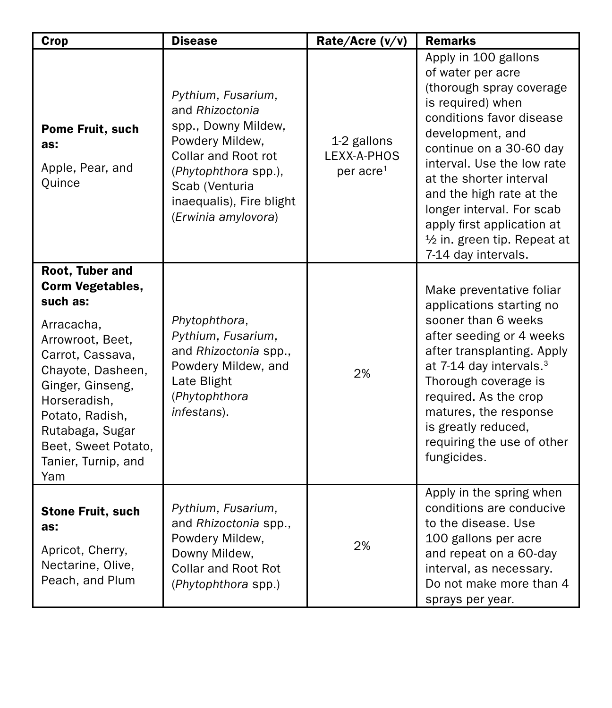| Crop                                                                                                                                                                                                                                                             | <b>Disease</b>                                                                                                                                                                                      | Rate/Acre (v/v)                                     | <b>Remarks</b>                                                                                                                                                                                                                                                                                                                                                               |
|------------------------------------------------------------------------------------------------------------------------------------------------------------------------------------------------------------------------------------------------------------------|-----------------------------------------------------------------------------------------------------------------------------------------------------------------------------------------------------|-----------------------------------------------------|------------------------------------------------------------------------------------------------------------------------------------------------------------------------------------------------------------------------------------------------------------------------------------------------------------------------------------------------------------------------------|
| Pome Fruit, such<br>as:<br>Apple, Pear, and<br>Quince                                                                                                                                                                                                            | Pythium, Fusarium,<br>and Rhizoctonia<br>spp., Downy Mildew,<br>Powdery Mildew,<br>Collar and Root rot<br>(Phytophthora spp.),<br>Scab (Venturia<br>inaequalis), Fire blight<br>(Erwinia amylovora) | 1-2 gallons<br>LEXX-A-PHOS<br>per acre <sup>1</sup> | Apply in 100 gallons<br>of water per acre<br>(thorough spray coverage<br>is required) when<br>conditions favor disease<br>development, and<br>continue on a 30-60 day<br>interval. Use the low rate<br>at the shorter interval<br>and the high rate at the<br>longer interval. For scab<br>apply first application at<br>1/2 in. green tip. Repeat at<br>7-14 day intervals. |
| Root, Tuber and<br><b>Corm Vegetables,</b><br>such as:<br>Arracacha,<br>Arrowroot, Beet,<br>Carrot, Cassava,<br>Chayote, Dasheen,<br>Ginger, Ginseng,<br>Horseradish.<br>Potato, Radish,<br>Rutabaga, Sugar<br>Beet, Sweet Potato,<br>Tanier, Turnip, and<br>Yam | Phytophthora,<br>Pythium, Fusarium,<br>and Rhizoctonia spp.,<br>Powdery Mildew, and<br>Late Blight<br>(Phytophthora<br>infestans).                                                                  | 2%                                                  | Make preventative foliar<br>applications starting no<br>sooner than 6 weeks<br>after seeding or 4 weeks<br>after transplanting. Apply<br>at 7-14 day intervals. <sup>3</sup><br>Thorough coverage is<br>required. As the crop<br>matures, the response<br>is greatly reduced,<br>requiring the use of other<br>fungicides.                                                   |
| <b>Stone Fruit, such</b><br>as:<br>Apricot, Cherry,<br>Nectarine, Olive,<br>Peach, and Plum                                                                                                                                                                      | Pythium, Fusarium,<br>and Rhizoctonia spp.,<br>Powdery Mildew,<br>Downy Mildew,<br><b>Collar and Root Rot</b><br>(Phytophthora spp.)                                                                | 2%                                                  | Apply in the spring when<br>conditions are conducive<br>to the disease. Use<br>100 gallons per acre<br>and repeat on a 60-day<br>interval, as necessary.<br>Do not make more than 4<br>sprays per year.                                                                                                                                                                      |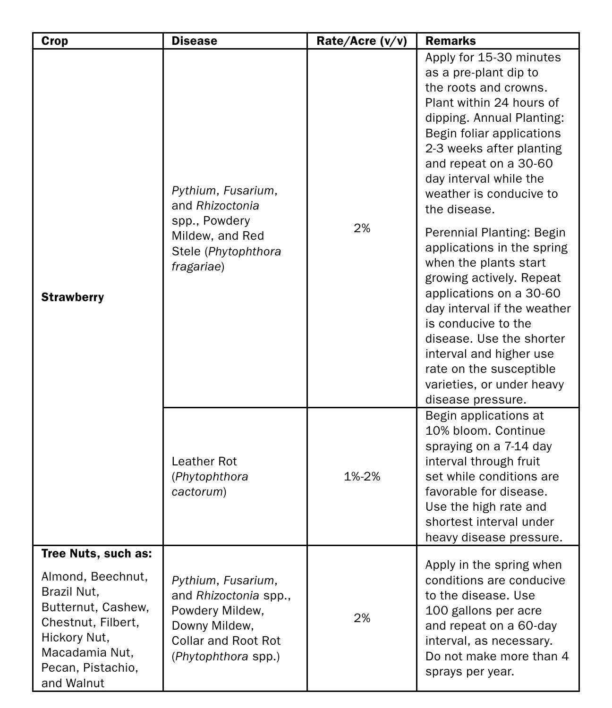| Crop                                                                                                                                                                     | <b>Disease</b>                                                                                                                | Rate/Acre (v/v) | <b>Remarks</b>                                                                                                                                                                                                                                                                                                                    |
|--------------------------------------------------------------------------------------------------------------------------------------------------------------------------|-------------------------------------------------------------------------------------------------------------------------------|-----------------|-----------------------------------------------------------------------------------------------------------------------------------------------------------------------------------------------------------------------------------------------------------------------------------------------------------------------------------|
| <b>Strawberry</b>                                                                                                                                                        | Pythium, Fusarium,<br>and Rhizoctonia<br>spp., Powdery<br>Mildew, and Red<br>Stele (Phytophthora<br>fragariae)                | 2%              | Apply for 15-30 minutes<br>as a pre-plant dip to<br>the roots and crowns.<br>Plant within 24 hours of<br>dipping. Annual Planting:<br>Begin foliar applications<br>2-3 weeks after planting<br>and repeat on a 30-60<br>day interval while the<br>weather is conducive to<br>the disease.                                         |
|                                                                                                                                                                          |                                                                                                                               |                 | Perennial Planting: Begin<br>applications in the spring<br>when the plants start<br>growing actively. Repeat<br>applications on a 30-60<br>day interval if the weather<br>is conducive to the<br>disease. Use the shorter<br>interval and higher use<br>rate on the susceptible<br>varieties, or under heavy<br>disease pressure. |
|                                                                                                                                                                          | Leather Rot<br>(Phytophthora<br>cactorum)                                                                                     | 1%-2%           | Begin applications at<br>10% bloom. Continue<br>spraying on a 7-14 day<br>interval through fruit<br>set while conditions are<br>favorable for disease.<br>Use the high rate and<br>shortest interval under<br>heavy disease pressure.                                                                                             |
| Tree Nuts, such as:<br>Almond, Beechnut,<br>Brazil Nut,<br>Butternut, Cashew,<br>Chestnut, Filbert,<br>Hickory Nut,<br>Macadamia Nut,<br>Pecan, Pistachio,<br>and Walnut | Pythium, Fusarium,<br>and Rhizoctonia spp.,<br>Powdery Mildew,<br>Downy Mildew,<br>Collar and Root Rot<br>(Phytophthora spp.) | 2%              | Apply in the spring when<br>conditions are conducive<br>to the disease. Use<br>100 gallons per acre<br>and repeat on a 60-day<br>interval, as necessary.<br>Do not make more than 4<br>sprays per year.                                                                                                                           |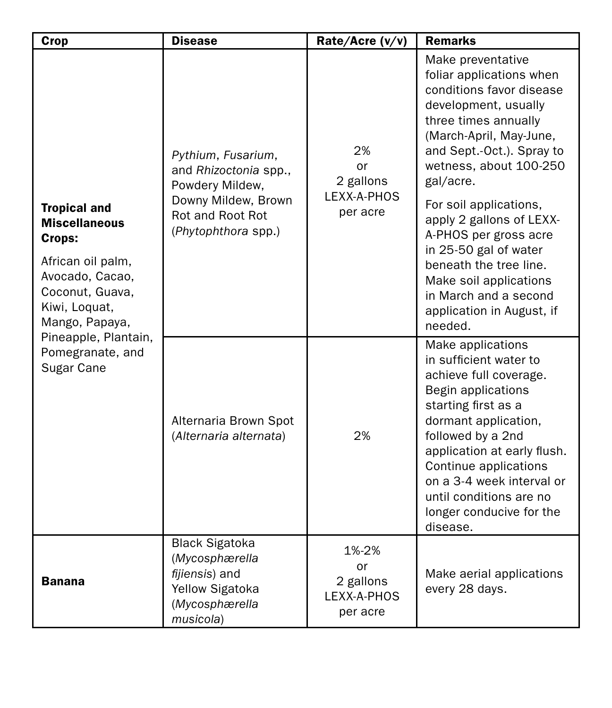| Crop                                                                                                                                                | <b>Disease</b>                                                                                                                   | Rate/Acre (v/v)                                     | <b>Remarks</b>                                                                                                                                                                                                                                                                                                                                                                                                                                        |
|-----------------------------------------------------------------------------------------------------------------------------------------------------|----------------------------------------------------------------------------------------------------------------------------------|-----------------------------------------------------|-------------------------------------------------------------------------------------------------------------------------------------------------------------------------------------------------------------------------------------------------------------------------------------------------------------------------------------------------------------------------------------------------------------------------------------------------------|
| <b>Tropical and</b><br><b>Miscellaneous</b><br>Crops:<br>African oil palm,<br>Avocado, Cacao,<br>Coconut, Guava,<br>Kiwi, Loquat,<br>Mango, Papaya, | Pythium, Fusarium,<br>and Rhizoctonia spp.,<br>Powdery Mildew,<br>Downy Mildew, Brown<br>Rot and Root Rot<br>(Phytophthora spp.) | 2%<br>or<br>2 gallons<br>LEXX-A-PHOS<br>per acre    | Make preventative<br>foliar applications when<br>conditions favor disease<br>development, usually<br>three times annually<br>(March-April, May-June,<br>and Sept.-Oct.). Spray to<br>wetness, about 100-250<br>gal/acre.<br>For soil applications,<br>apply 2 gallons of LEXX-<br>A-PHOS per gross acre<br>in 25-50 gal of water<br>beneath the tree line.<br>Make soil applications<br>in March and a second<br>application in August, if<br>needed. |
| Pineapple, Plantain,<br>Pomegranate, and<br>Sugar Cane                                                                                              | Alternaria Brown Spot<br>(Alternaria alternata)                                                                                  | 2%                                                  | Make applications<br>in sufficient water to<br>achieve full coverage.<br>Begin applications<br>starting first as a<br>dormant application,<br>followed by a 2nd<br>application at early flush.<br>Continue applications<br>on a 3-4 week interval or<br>until conditions are no<br>longer conducive for the<br>disease.                                                                                                                               |
| Banana                                                                                                                                              | <b>Black Sigatoka</b><br>(Mycosphærella<br>fijiensis) and<br><b>Yellow Sigatoka</b><br>(Mycosphærella<br>musicola)               | 1%-2%<br>or<br>2 gallons<br>LEXX-A-PHOS<br>per acre | Make aerial applications<br>every 28 days.                                                                                                                                                                                                                                                                                                                                                                                                            |